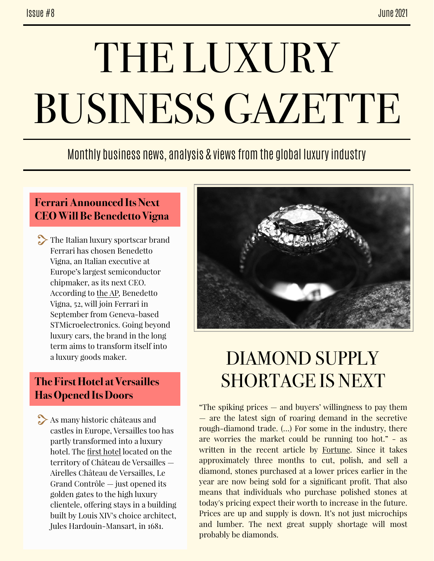# THE LUXURY BUSINESS GAZETTE

### Monthly business news, analysis & views from the global luxury industry

#### **Ferrari Announced Its Next CEO Will Be Benedetto Vigna**

The Italian luxury sportscar brand Ferrari has chosen Benedetto Vigna, an Italian executive at Europe's largest semiconductor chipmaker, as its next CEO. According to [the AP,](https://apnews.com/article/europe-health-coronavirus-pandemic-technology-business-85ee3104e2123e41b891295521771ee4) Benedetto Vigna, 52, will join Ferrari in September from Geneva-based STMicroelectronics. Going beyond luxury cars, the brand in the long term aims to transform itself into a luxury goods maker.

#### **The First Hotel at Versailles Has Opened Its Doors**

As many historic châteaus and castles in Europe, Versailles too has partly transformed into a luxury hotel. The [first hotel](https://www.travelandleisure.com/hotels-resorts/luxury-hotels/airelles-chateau-hotel-on-the-grounds-of-versailles-opening) located on the territory of Château de Versailles — Airelles Château de Versailles, Le Grand Contrôle — just opened its golden gates to the high luxury clientele, ofering stays in a building built by Louis XIV's choice architect, Jules Hardouin-Mansart, in 1681.



## DIAMOND SUPPLY SHORTAGE IS NEXT

"The spiking prices — and buyers' willingness to pay them — are the latest sign of roaring demand in the secretive rough-diamond trade. (…) For some in the industry, there are worries the market could be running too hot." - as written in the recent article by [Fortune](https://fortune-com.cdn.ampproject.org/c/s/fortune.com/2021/06/09/diamond-shortage-de-beers-supply-chain/amp/). Since it takes approximately three months to cut, polish, and sell a diamond, stones purchased at a lower prices earlier in the year are now being sold for a significant profit. That also means that individuals who purchase polished stones at today's pricing expect their worth to increase in the future. Prices are up and supply is down. It's not just microchips and lumber. The next great supply shortage will most probably be diamonds.